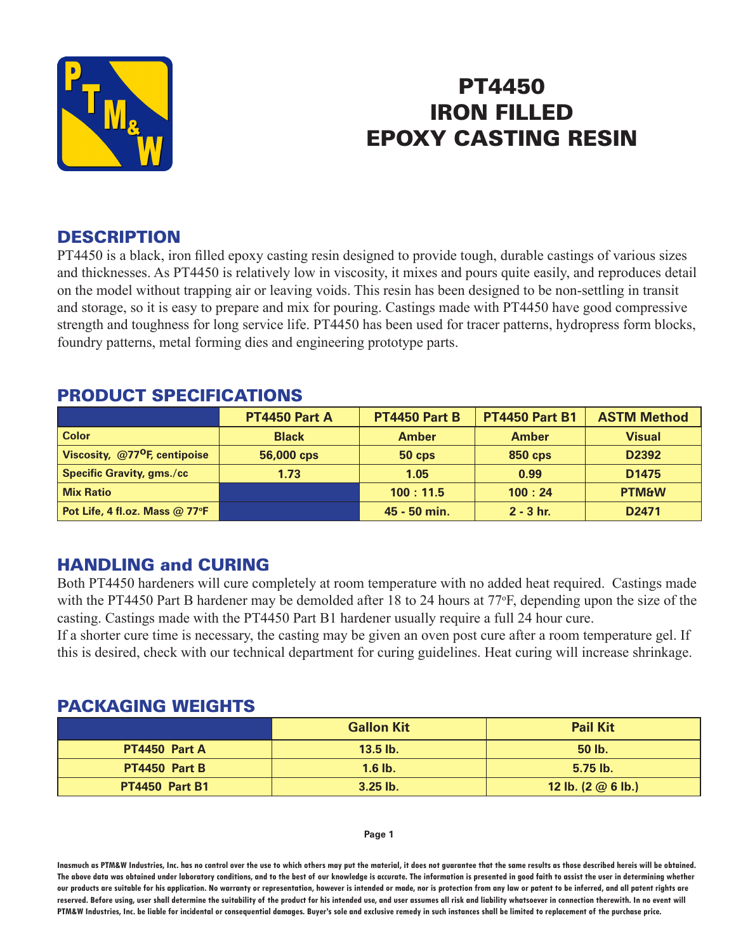

# PT4450 IRON FILLED EPOXY CASTING RESIN

#### **DESCRIPTION**

PT4450 is a black, iron filled epoxy casting resin designed to provide tough, durable castings of various sizes and thicknesses. As PT4450 is relatively low in viscosity, it mixes and pours quite easily, and reproduces detail on the model without trapping air or leaving voids. This resin has been designed to be non-settling in transit and storage, so it is easy to prepare and mix for pouring. Castings made with PT4450 have good compressive strength and toughness for long service life. PT4450 has been used for tracer patterns, hydropress form blocks, foundry patterns, metal forming dies and engineering prototype parts.

|                                               | PT4450 Part A | PT4450 Part B | <b>PT4450 Part B1</b> | <b>ASTM Method</b> |
|-----------------------------------------------|---------------|---------------|-----------------------|--------------------|
| <b>Color</b>                                  | <b>Black</b>  | <b>Amber</b>  | <b>Amber</b>          | <b>Visual</b>      |
| Viscosity, @77 <sup>o</sup> F, centipoise     | 56,000 cps    | $50$ cps      | <b>850 cps</b>        | D <sub>2392</sub>  |
| <b>Specific Gravity, gms./cc</b>              | 1.73          | 1.05          | 0.99                  | D <sub>1475</sub>  |
| <b>Mix Ratio</b>                              |               | 100:11.5      | 100:24                | <b>PTM&amp;W</b>   |
| Pot Life, 4 fl.oz. Mass $@$ 77 ${}^{\circ}$ F |               | 45 - 50 min.  | $2 - 3$ hr.           | D <sub>2471</sub>  |

#### PRODUCT SPECIFICATIONS

## HANDLING and CURING

Both PT4450 hardeners will cure completely at room temperature with no added heat required. Castings made with the PT4450 Part B hardener may be demolded after 18 to 24 hours at 77°F, depending upon the size of the casting. Castings made with the PT4450 Part B1 hardener usually require a full 24 hour cure.

If a shorter cure time is necessary, the casting may be given an oven post cure after a room temperature gel. If this is desired, check with our technical department for curing guidelines. Heat curing will increase shrinkage.

#### PACKAGING WEIGHTS

|                       | <b>Gallon Kit</b> | <b>Pail Kit</b>                    |
|-----------------------|-------------------|------------------------------------|
| PT4450 Part A         | $13.5$ lb.        | 50 lb.                             |
| PT4450 Part B         | $1.6$ lb.         | $5.75$ lb.                         |
| <b>PT4450 Part B1</b> | $3.25$ lb.        | 12 lb. $(2 \oslash 6 \text{ lb.})$ |

#### **Page 1**

**Inasmuch as PTM&W Industries, Inc. has no control over the use to which others may put the material, it does not guarantee that the same results as those described hereis will be obtained. The above data was obtained under laboratory conditions, and to the best of our knowledge is accurate. The information is presented in good faith to assist the user in determining whether our products are suitable for his application. No warranty or representation, however is intended or made, nor is protection from any law or patent to be inferred, and all patent rights are**  reserved. Before using, user shall determine the suitability of the product for his intended use, and user assumes all risk and liability whatsoever in connection therewith. In no event will **PTM&W Industries, Inc. be liable for incidental or consequential damages. Buyer's sole and exclusive remedy in such instances shall be limited to replacement of the purchase price.**